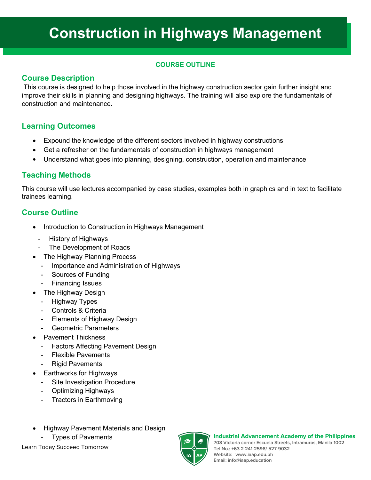# **Construction in Highways Management**

#### **COURSE OUTLINE**

#### **Course Description**

This course is designed to help those involved in the highway construction sector gain further insight and improve their skills in planning and designing highways. The training will also explore the fundamentals of construction and maintenance.

### **Learning Outcomes**

- Expound the knowledge of the different sectors involved in highway constructions
- Get a refresher on the fundamentals of construction in highways management
- Understand what goes into planning, designing, construction, operation and maintenance

# **Teaching Methods**

This course will use lectures accompanied by case studies, examples both in graphics and in text to facilitate trainees learning.

# **Course Outline**

- Introduction to Construction in Highways Management
	- History of Highways
- The Development of Roads
- The Highway Planning Process
	- Importance and Administration of Highways
	- Sources of Funding
	- Financing Issues
- The Highway Design
	- Highway Types
	- Controls & Criteria
	- Elements of Highway Design
	- Geometric Parameters
- - Pavement Thickness Factors Affecting Pavement Design
	- **Flexible Pavements**
	- **Rigid Pavements**
- Earthworks for Highways
	- Site Investigation Procedure
	- Optimizing Highways
	- Tractors in Earthmoving
- Highway Pavement Materials and Design
	- **Types of Pavements**

Learn Today Succeed Tomorrow